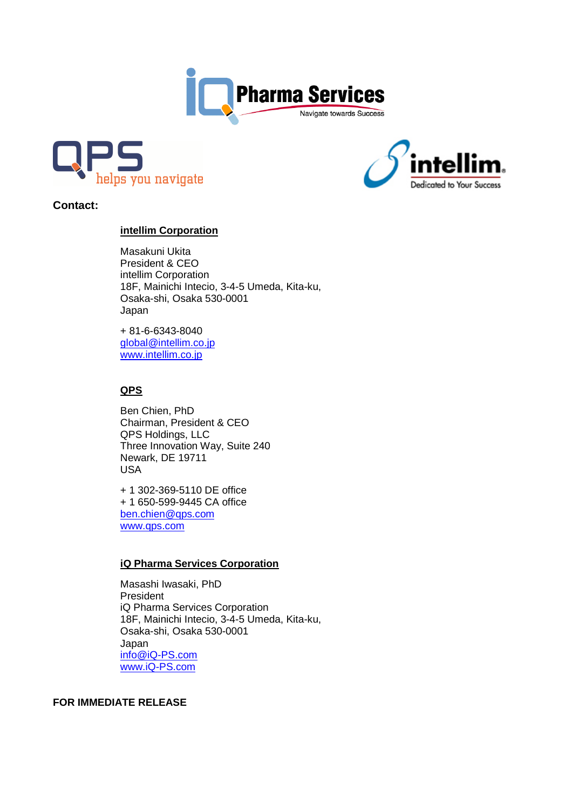





**Contact:** 

# **intellim Corporation**

Masakuni Ukita President & CEO intellim Corporation 18F, Mainichi Intecio, 3-4-5 Umeda, Kita-ku, Osaka-shi, Osaka 530-0001 Japan

+ 81-6-6343-8040 global@intellim.co.jp www.intellim.co.jp

## **QPS**

Ben Chien, PhD Chairman, President & CEO QPS Holdings, LLC Three Innovation Way, Suite 240 Newark, DE 19711 USA

+ 1 302-369-5110 DE office + 1 650-599-9445 CA office ben.chien@qps.com www.qps.com

## **iQ Pharma Services Corporation**

 Masashi Iwasaki, PhD President iQ Pharma Services Corporation 18F, Mainichi Intecio, 3-4-5 Umeda, Kita-ku, Osaka-shi, Osaka 530-0001 Japan info@iQ-PS.com www.iQ-PS.com

## **FOR IMMEDIATE RELEASE**